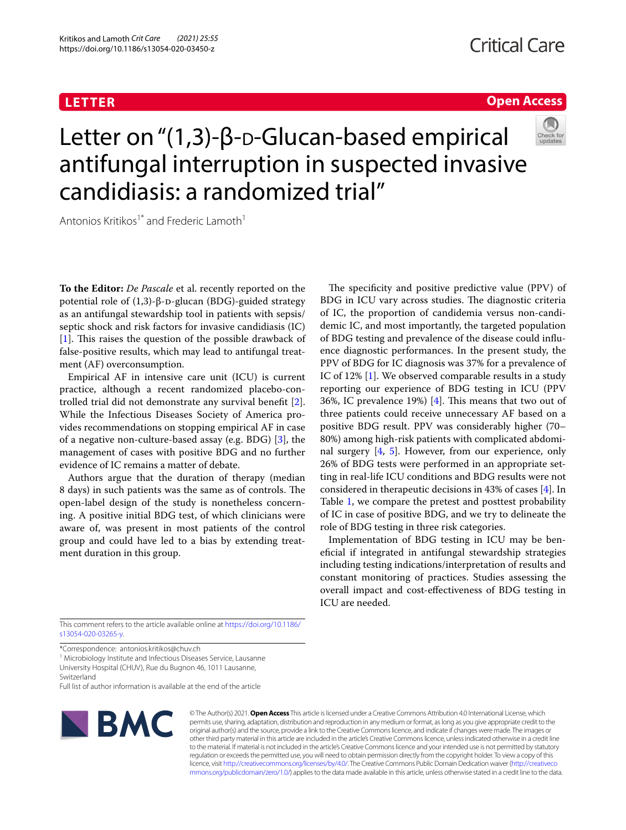# **LETTER**

# **Open Access**



# Letter on "(1,3)-β-D-Glucan-based empirical antifungal interruption in suspected invasive candidiasis: a randomized trial"

Antonios Kritikos<sup>1\*</sup> and Frederic Lamoth<sup>1</sup>

**To the Editor:** *De Pascale* et al. recently reported on the potential role of  $(1,3)$ -β-D-glucan (BDG)-guided strategy as an antifungal stewardship tool in patients with sepsis/ septic shock and risk factors for invasive candidiasis (IC)  $[1]$  $[1]$ . This raises the question of the possible drawback of false-positive results, which may lead to antifungal treatment (AF) overconsumption.

Empirical AF in intensive care unit (ICU) is current practice, although a recent randomized placebo-controlled trial did not demonstrate any survival beneft [\[2](#page-2-1)]. While the Infectious Diseases Society of America provides recommendations on stopping empirical AF in case of a negative non-culture-based assay (e.g. BDG) [\[3](#page-2-2)], the management of cases with positive BDG and no further evidence of IC remains a matter of debate.

Authors argue that the duration of therapy (median 8 days) in such patients was the same as of controls. The open-label design of the study is nonetheless concerning. A positive initial BDG test, of which clinicians were aware of, was present in most patients of the control group and could have led to a bias by extending treatment duration in this group.

The specificity and positive predictive value (PPV) of BDG in ICU vary across studies. The diagnostic criteria of IC, the proportion of candidemia versus non-candidemic IC, and most importantly, the targeted population of BDG testing and prevalence of the disease could infuence diagnostic performances. In the present study, the PPV of BDG for IC diagnosis was 37% for a prevalence of IC of 12% [\[1](#page-2-0)]. We observed comparable results in a study reporting our experience of BDG testing in ICU (PPV 36%, IC prevalence 19%) [[4\]](#page-2-3). This means that two out of three patients could receive unnecessary AF based on a positive BDG result. PPV was considerably higher (70– 80%) among high-risk patients with complicated abdominal surgery [\[4](#page-2-3), [5](#page-2-4)]. However, from our experience, only 26% of BDG tests were performed in an appropriate setting in real-life ICU conditions and BDG results were not considered in therapeutic decisions in 43% of cases [\[4](#page-2-3)]. In Table [1,](#page-1-0) we compare the pretest and posttest probability of IC in case of positive BDG, and we try to delineate the role of BDG testing in three risk categories.

Implementation of BDG testing in ICU may be benefcial if integrated in antifungal stewardship strategies including testing indications/interpretation of results and constant monitoring of practices. Studies assessing the overall impact and cost-efectiveness of BDG testing in ICU are needed.

This comment refers to the article available online at [https://doi.org/10.1186/](https://doi.org/10.1186/s13054-020-03265-y) [s13054-020-03265-y.](https://doi.org/10.1186/s13054-020-03265-y)

\*Correspondence: antonios.kritikos@chuv.ch

<sup>1</sup> Microbiology Institute and Infectious Diseases Service, Lausanne University Hospital (CHUV), Rue du Bugnon 46, 1011 Lausanne, Switzerland

Full list of author information is available at the end of the article



© The Author(s) 2021. **Open Access** This article is licensed under a Creative Commons Attribution 4.0 International License, which permits use, sharing, adaptation, distribution and reproduction in any medium or format, as long as you give appropriate credit to the original author(s) and the source, provide a link to the Creative Commons licence, and indicate if changes were made. The images or other third party material in this article are included in the article's Creative Commons licence, unless indicated otherwise in a credit line to the material. If material is not included in the article's Creative Commons licence and your intended use is not permitted by statutory regulation or exceeds the permitted use, you will need to obtain permission directly from the copyright holder. To view a copy of this licence, visit [http://creativecommons.org/licenses/by/4.0/.](http://creativecommons.org/licenses/by/4.0/) The Creative Commons Public Domain Dedication waiver ([http://creativeco](http://creativecommons.org/publicdomain/zero/1.0/) [mmons.org/publicdomain/zero/1.0/](http://creativecommons.org/publicdomain/zero/1.0/)) applies to the data made available in this article, unless otherwise stated in a credit line to the data.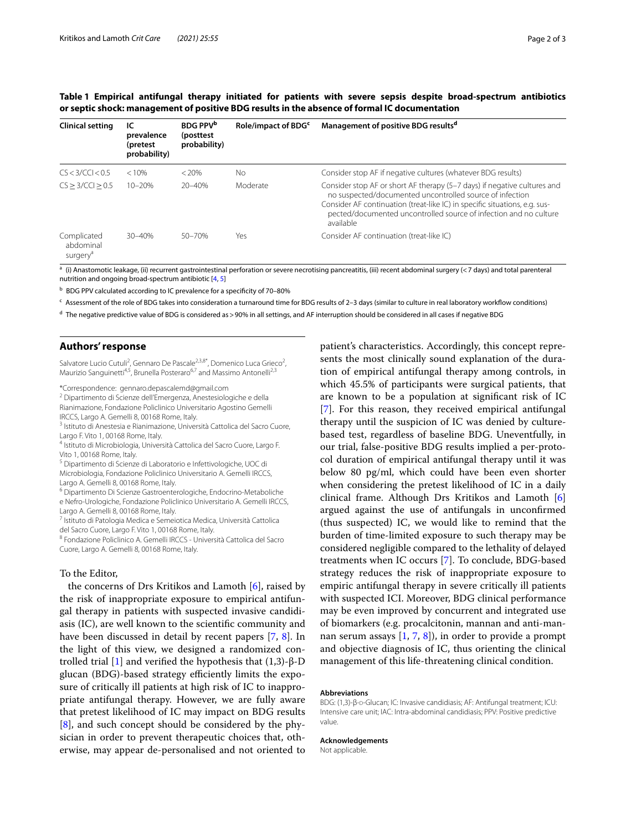|  | . Page |  |
|--|--------|--|
|  |        |  |

| <b>Clinical setting</b>                          | ТC<br>prevalence<br>(pretest<br>probability) | <b>BDG PPV<sup>b</sup></b><br>(posttest)<br>probability) | Role/impact of BDG <sup>c</sup> | Management of positive BDG results <sup>d</sup>                                                                                                                                                                                                                                                      |
|--------------------------------------------------|----------------------------------------------|----------------------------------------------------------|---------------------------------|------------------------------------------------------------------------------------------------------------------------------------------------------------------------------------------------------------------------------------------------------------------------------------------------------|
| CS < 3/CCl < 0.5                                 | < 10%                                        | $< 20\%$                                                 | No                              | Consider stop AF if negative cultures (whatever BDG results)                                                                                                                                                                                                                                         |
| CS > 3/CCl > 0.5                                 | $10 - 20%$                                   | $20 - 40%$                                               | Moderate                        | Consider stop AF or short AF therapy (5-7 days) if negative cultures and<br>no suspected/documented uncontrolled source of infection<br>Consider AF continuation (treat-like IC) in specific situations, e.g. sus-<br>pected/documented uncontrolled source of infection and no culture<br>available |
| Complicated<br>abdominal<br>surgery <sup>a</sup> | $30 - 40%$                                   | $50 - 70%$                                               | Yes                             | Consider AF continuation (treat-like IC)                                                                                                                                                                                                                                                             |

<span id="page-1-0"></span>**Table 1 Empirical antifungal therapy initiated for patients with severe sepsis despite broad-spectrum antibiotics or septic shock: management of positive BDG results in the absence of formal IC documentation**

 $^a$  (i) Anastomotic leakage, (ii) recurrent gastrointestinal perforation or severe necrotising pancreatitis, (iii) recent abdominal surgery (<7 days) and total parenteral nutrition and ongoing broad-spectrum antibiotic [[4,](#page-2-3) [5](#page-2-4)]

b BDG PPV calculated according to IC prevalence for a specificity of 70-80%

 $c$  Assessment of the role of BDG takes into consideration a turnaround time for BDG results of 2-3 days (similar to culture in real laboratory workflow conditions)

<sup>d</sup> The negative predictive value of BDG is considered as > 90% in all settings, and AF interruption should be considered in all cases if negative BDG

# **Authors' response**

Salvatore Lucio Cutuli<sup>2</sup>, Gennaro De Pascale<sup>2,3,8\*</sup>, Domenico Luca Grieco<sup>2</sup>, Maurizio Sanguinetti<sup>4,5</sup>, Brunella Posteraro<sup>6,7</sup> and Massimo Antonelli<sup>2,3</sup>

\*Correspondence: gennaro.depascalemd@gmail.com

<sup>2</sup> Dipartimento di Scienze dell'Emergenza, Anestesiologiche e della Rianimazione, Fondazione Policlinico Universitario Agostino Gemelli IRCCS, Largo A. Gemelli 8, 00168 Rome, Italy.<br><sup>3</sup> Istituto di Anestesia e Rianimazione, Università Cattolica del Sacro Cuore,

Largo F. Vito 1, 00168 Rome, Italy.<br><sup>4</sup> Istituto di Microbiologia, Università Cattolica del Sacro Cuore, Largo F.

Vito 1, 00168 Rome, Italy.<br><sup>5</sup> Dipartimento di Scienze di Laboratorio e Infettivologiche, UOC di

Microbiologia, Fondazione Policlinico Universitario A. Gemelli IRCCS, Largo A. Gemelli 8, 00168 Rome, Italy.<br><sup>6</sup> Dipartimento Di Scienze Gastroenterologiche, Endocrino-Metaboliche

e Nefro-Urologiche, Fondazione Policlinico Universitario A. Gemelli IRCCS, Largo A. Gemelli 8, 00168 Rome, Italy.<br><sup>7</sup> Istituto di Patologia Medica e Semeiotica Medica, Università Cattolica

del Sacro Cuore, Largo F. Vito 1, 00168 Rome, Italy.<br><sup>8</sup> Fondazione Policlinico A. Gemelli IRCCS - Università Cattolica del Sacro

Cuore, Largo A. Gemelli 8, 00168 Rome, Italy.

# To the Editor,

the concerns of Drs Kritikos and Lamoth [\[6](#page-2-5)], raised by the risk of inappropriate exposure to empirical antifungal therapy in patients with suspected invasive candidiasis (IC), are well known to the scientifc community and have been discussed in detail by recent papers [[7,](#page-2-6) [8](#page-2-7)]. In the light of this view, we designed a randomized controlled trial [\[1](#page-2-0)] and verifed the hypothesis that (1,3)-β-D glucan (BDG)-based strategy efficiently limits the exposure of critically ill patients at high risk of IC to inappropriate antifungal therapy. However, we are fully aware that pretest likelihood of IC may impact on BDG results [[8\]](#page-2-7), and such concept should be considered by the physician in order to prevent therapeutic choices that, otherwise, may appear de-personalised and not oriented to patient's characteristics. Accordingly, this concept represents the most clinically sound explanation of the duration of empirical antifungal therapy among controls, in which 45.5% of participants were surgical patients, that are known to be a population at signifcant risk of IC [[7\]](#page-2-6). For this reason, they received empirical antifungal therapy until the suspicion of IC was denied by culturebased test, regardless of baseline BDG. Uneventfully, in our trial, false-positive BDG results implied a per-protocol duration of empirical antifungal therapy until it was below 80 pg/ml, which could have been even shorter when considering the pretest likelihood of IC in a daily clinical frame. Although Drs Kritikos and Lamoth [\[6](#page-2-5)] argued against the use of antifungals in unconfrmed (thus suspected) IC, we would like to remind that the burden of time-limited exposure to such therapy may be considered negligible compared to the lethality of delayed treatments when IC occurs [\[7](#page-2-6)]. To conclude, BDG-based strategy reduces the risk of inappropriate exposure to empiric antifungal therapy in severe critically ill patients with suspected ICI. Moreover, BDG clinical performance may be even improved by concurrent and integrated use of biomarkers (e.g. procalcitonin, mannan and anti-mannan serum assays  $[1, 7, 8]$  $[1, 7, 8]$  $[1, 7, 8]$  $[1, 7, 8]$  $[1, 7, 8]$  $[1, 7, 8]$ , in order to provide a prompt and objective diagnosis of IC, thus orienting the clinical management of this life-threatening clinical condition.

## **Abbreviations**

BDG: (1,3)-β-D-Glucan; IC: Invasive candidiasis; AF: Antifungal treatment; ICU: Intensive care unit; IAC: Intra-abdominal candidiasis; PPV: Positive predictive value.

### **Acknowledgements**

Not applicable.